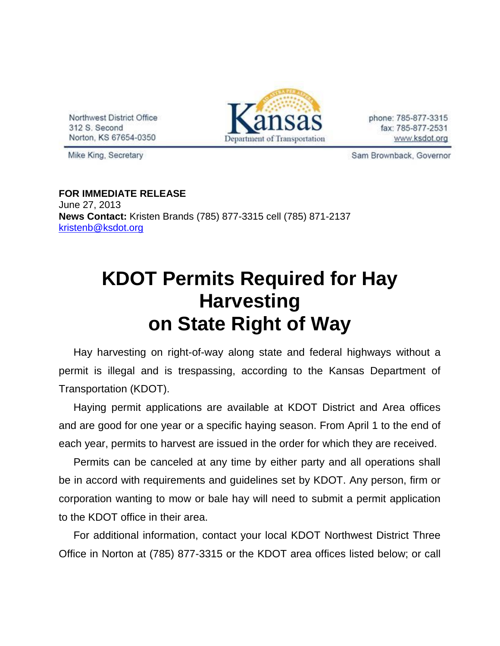Northwest District Office 312 S. Second Norton, KS 67654-0350



phone: 785-877-3315 fax: 785-877-2531 www.ksdot.org

Mike King, Secretary

Sam Brownback, Governor

**FOR IMMEDIATE RELEASE** June 27, 2013 **News Contact:** Kristen Brands (785) 877-3315 cell (785) 871-2137 [kristenb@ksdot.org](mailto:kristenb@ksdot.org)

## **KDOT Permits Required for Hay Harvesting on State Right of Way**

Hay harvesting on right-of-way along state and federal highways without a permit is illegal and is trespassing, according to the Kansas Department of Transportation (KDOT).

Haying permit applications are available at KDOT District and Area offices and are good for one year or a specific haying season. From April 1 to the end of each year, permits to harvest are issued in the order for which they are received.

Permits can be canceled at any time by either party and all operations shall be in accord with requirements and guidelines set by KDOT. Any person, firm or corporation wanting to mow or bale hay will need to submit a permit application to the KDOT office in their area.

For additional information, contact your local KDOT Northwest District Three Office in Norton at (785) 877-3315 or the KDOT area offices listed below; or call